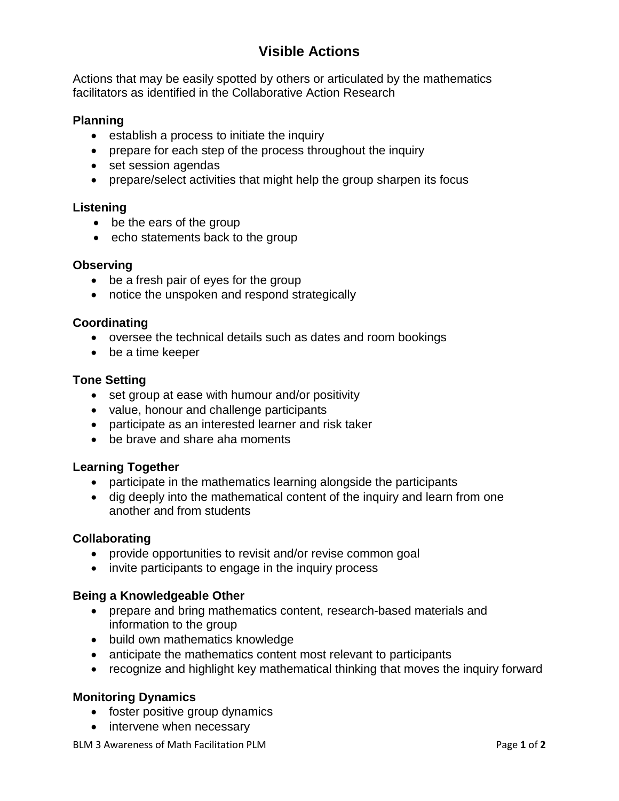# **Visible Actions**

Actions that may be easily spotted by others or articulated by the mathematics facilitators as identified in the Collaborative Action Research

### **Planning**

- establish a process to initiate the inquiry
- prepare for each step of the process throughout the inquiry
- set session agendas
- prepare/select activities that might help the group sharpen its focus

### **Listening**

- be the ears of the group
- echo statements back to the group

#### **Observing**

- be a fresh pair of eyes for the group
- notice the unspoken and respond strategically

#### **Coordinating**

- oversee the technical details such as dates and room bookings
- be a time keeper

#### **Tone Setting**

- set group at ease with humour and/or positivity
- value, honour and challenge participants
- participate as an interested learner and risk taker
- be brave and share aha moments

#### **Learning Together**

- participate in the mathematics learning alongside the participants
- dig deeply into the mathematical content of the inquiry and learn from one another and from students

### **Collaborating**

- provide opportunities to revisit and/or revise common goal
- invite participants to engage in the inquiry process

### **Being a Knowledgeable Other**

- prepare and bring mathematics content, research-based materials and information to the group
- build own mathematics knowledge
- anticipate the mathematics content most relevant to participants
- recognize and highlight key mathematical thinking that moves the inquiry forward

## **Monitoring Dynamics**

- foster positive group dynamics
- intervene when necessary